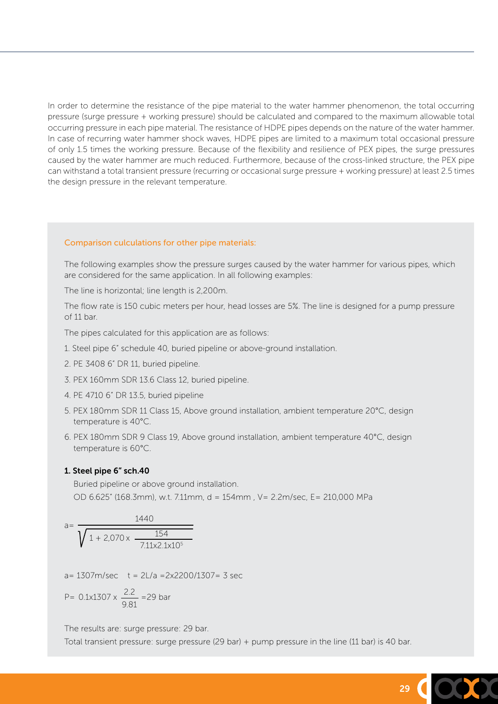In order to determine the resistance of the pipe material to the water hammer phenomenon, the total occurring pressure (surge pressure + working pressure) should be calculated and compared to the maximum allowable total occurring pressure in each pipe material. The resistance of HDPE pipes depends on the nature of the water hammer. In case of recurring water hammer shock waves, HDPE pipes are limited to a maximum total occasional pressure of only 1.5 times the working pressure. Because of the flexibility and resilience of PEX pipes, the surge pressures caused by the water hammer are much reduced. Furthermore, because of the cross-linked structure, the PEX pipe can withstand a total transient pressure (recurring or occasional surge pressure + working pressure) at least 2.5 times the design pressure in the relevant temperature.

### Comparison culculations for other pipe materials:

The following examples show the pressure surges caused by the water hammer for various pipes, which are considered for the same application. In all following examples:

The line is horizontal; line length is 2,200m.

The flow rate is 150 cubic meters per hour, head losses are 5%. The line is designed for a pump pressure of 11 bar.

The pipes calculated for this application are as follows:

- 1. Steel pipe 6" schedule 40, buried pipeline or above-ground installation.
- 2. PE 3408 6" DR 11, buried pipeline.
- 3. PEX 160mm SDR 13.6 Class 12, buried pipeline.
- 4. PE 4710 6" DR 13.5, buried pipeline
- 5. PEX 180mm SDR 11 Class 15, Above ground installation, ambient temperature 20°C, design temperature is 40°C.
- 6. PEX 180mm SDR 9 Class 19, Above ground installation, ambient temperature 40°C, design temperature is 60°C.

#### 1. Steel pipe 6" sch.40

Buried pipeline or above ground installation. OD 6.625" (168.3mm), w.t. 7.11mm, d = 154mm , V= 2.2m/sec, E= 210,000 MPa

$$
a = \frac{1440}{\sqrt{1 + 2.070 \times \frac{154}{7.11 \times 2.1 \times 10^5}}}
$$

 $a= 1307$ m/sec  $t = 2L/a = 2x2200/1307 = 3 sec$ 

P= 0.1x1307 x 
$$
\frac{2.2}{9.81}
$$
 = 29 bar

 $29$ 

The results are: surge pressure: 29 bar.

Total transient pressure: surge pressure (29 bar) + pump pressure in the line (11 bar) is 40 bar.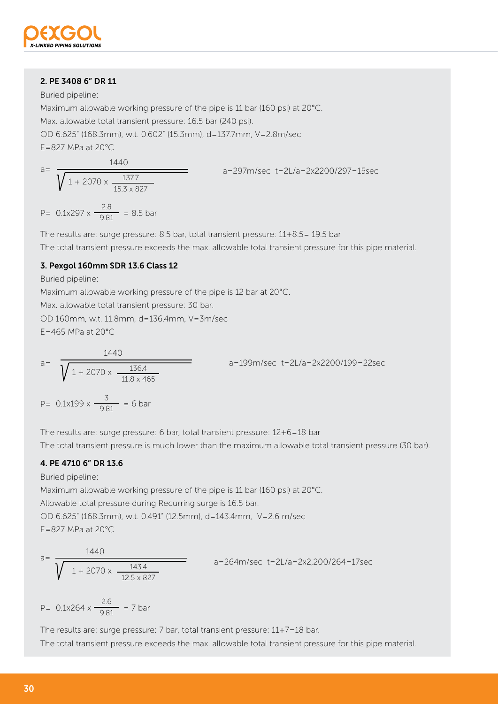

# 2. PE 3408 6" DR 11

Buried pipeline:

Maximum allowable working pressure of the pipe is 11 bar (160 psi) at 20°C.

Max. allowable total transient pressure: 16.5 bar (240 psi).

OD 6.625" (168.3mm), w.t. 0.602" (15.3mm), d=137.7mm, V=2.8m/sec

 $F = 827$  MPa at 20 $^{\circ}$ C.

a=297m/sec t=2L/a=2x2200/297=15sec  $a=$ 1440  $1 + 2070 \times \frac{137.7}{15.3 \times 827}$ 

$$
P = 0.1x297 \times \frac{2.8}{9.81} = 8.5 \text{ bar}
$$

The results are: surge pressure: 8.5 bar, total transient pressure: 11+8.5= 19.5 bar The total transient pressure exceeds the max. allowable total transient pressure for this pipe material.

# 3. Pexgol 160mm SDR 13.6 Class 12

Buried pipeline:

Maximum allowable working pressure of the pipe is 12 bar at 20°C.

Max. allowable total transient pressure: 30 bar.

OD 160mm, w.t. 11.8mm, d=136.4mm, V=3m/sec

E=465 MPa at 20°C

a=
$$
\sqrt{1 + 2070 \times \frac{136.4}{11.8 \times 465}}}
$$
  
b = 0.1x199 x  $\frac{3}{9.81}$  = 6 bar

The results are: surge pressure: 6 bar, total transient pressure: 12+6=18 bar The total transient pressure is much lower than the maximum allowable total transient pressure (30 bar).

# 4. PE 4710 6" DR 13.6

Buried pipeline:

Maximum allowable working pressure of the pipe is 11 bar (160 psi) at 20°C.

Allowable total pressure during Recurring surge is 16.5 bar.

OD 6.625" (168.3mm), w.t. 0.491" (12.5mm), d=143.4mm, V=2.6 m/sec E=827 MPa at 20°C

a=
$$
\frac{1440}{\sqrt{1+2070 \times \frac{143.4}{12.5 \times 827}}}
$$
 a=264m/sec t=2L/a=2x2,200/264=17sec

P=  $0.1x264 \times \frac{2.6}{9.81} = 7$  bar

The results are: surge pressure: 7 bar, total transient pressure: 11+7=18 bar. The total transient pressure exceeds the max. allowable total transient pressure for this pipe material.